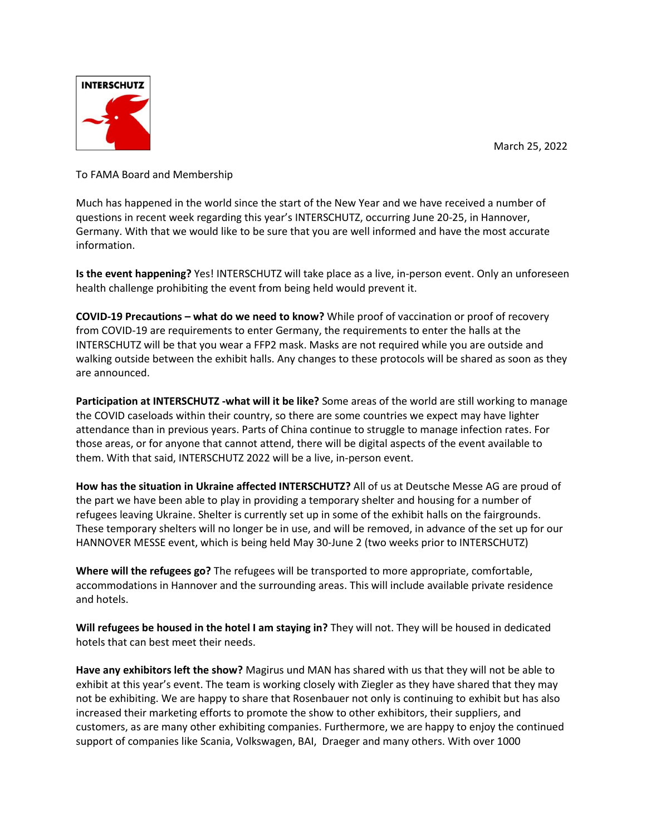March 25, 2022



To FAMA Board and Membership

Much has happened in the world since the start of the New Year and we have received a number of questions in recent week regarding this year's INTERSCHUTZ, occurring June 20-25, in Hannover, Germany. With that we would like to be sure that you are well informed and have the most accurate information.

**Is the event happening?** Yes! INTERSCHUTZ will take place as a live, in-person event. Only an unforeseen health challenge prohibiting the event from being held would prevent it.

**COVID-19 Precautions – what do we need to know?** While proof of vaccination or proof of recovery from COVID-19 are requirements to enter Germany, the requirements to enter the halls at the INTERSCHUTZ will be that you wear a FFP2 mask. Masks are not required while you are outside and walking outside between the exhibit halls. Any changes to these protocols will be shared as soon as they are announced.

**Participation at INTERSCHUTZ -what will it be like?** Some areas of the world are still working to manage the COVID caseloads within their country, so there are some countries we expect may have lighter attendance than in previous years. Parts of China continue to struggle to manage infection rates. For those areas, or for anyone that cannot attend, there will be digital aspects of the event available to them. With that said, INTERSCHUTZ 2022 will be a live, in-person event.

**How has the situation in Ukraine affected INTERSCHUTZ?** All of us at Deutsche Messe AG are proud of the part we have been able to play in providing a temporary shelter and housing for a number of refugees leaving Ukraine. Shelter is currently set up in some of the exhibit halls on the fairgrounds. These temporary shelters will no longer be in use, and will be removed, in advance of the set up for our HANNOVER MESSE event, which is being held May 30-June 2 (two weeks prior to INTERSCHUTZ)

**Where will the refugees go?** The refugees will be transported to more appropriate, comfortable, accommodations in Hannover and the surrounding areas. This will include available private residence and hotels.

**Will refugees be housed in the hotel I am staying in?** They will not. They will be housed in dedicated hotels that can best meet their needs.

**Have any exhibitors left the show?** Magirus und MAN has shared with us that they will not be able to exhibit at this year's event. The team is working closely with Ziegler as they have shared that they may not be exhibiting. We are happy to share that Rosenbauer not only is continuing to exhibit but has also increased their marketing efforts to promote the show to other exhibitors, their suppliers, and customers, as are many other exhibiting companies. Furthermore, we are happy to enjoy the continued support of companies like Scania, Volkswagen, BAI, Draeger and many others. With over 1000